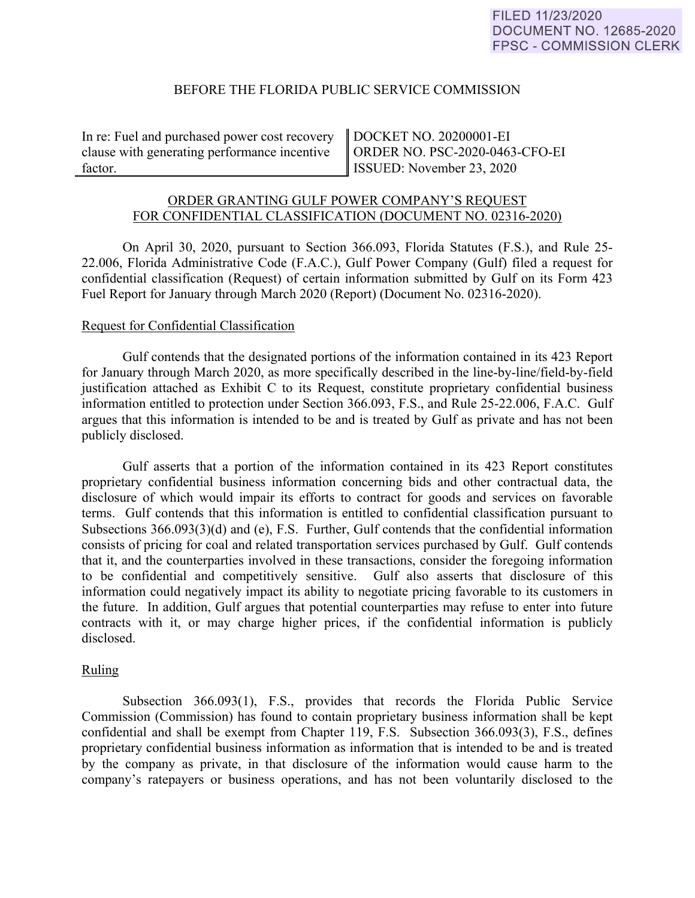### BEFORE THE FLORIDA PUBLIC SERVICE COMMISSION

In re: Fuel and purchased power cost recovery clause with generating performance incentive factor.

DOCKET NO. 20200001-EI ORDER NO. PSC-2020-0463-CFO-EI ISSUED: November 23, 2020

# ORDER GRANTING GULF POWER COMPANY'S REQUEST FOR CONFIDENTIAL CLASSIFICATION (DOCUMENT NO. 02316-2020)

On April 30, 2020, pursuant to Section 366.093, Florida Statutes (F.S.), and Rule 25- 22.006, Florida Administrative Code (F.A.C.), Gulf Power Company (Gulf) filed a request for confidential classification (Request) of certain information submitted by Gulf on its Form 423 Fuel Report for January through March 2020 (Report) (Document No. 02316-2020).

### Request for Confidential Classification

Gulf contends that the designated portions of the information contained in its 423 Report for January through March 2020, as more specifically described in the line-by-line/field-by-field justification attached as Exhibit C to its Request, constitute proprietary confidential business information entitled to protection under Section 366.093, F.S., and Rule 25-22.006, F.A.C. Gulf argues that this information is intended to be and is treated by Gulf as private and has not been publicly disclosed.

Gulf asserts that a portion of the information contained in its 423 Report constitutes proprietary confidential business information concerning bids and other contractual data, the disclosure of which would impair its efforts to contract for goods and services on favorable terms. Gulf contends that this information is entitled to confidential classification pursuant to Subsections 366.093(3)(d) and (e), F.S. Further, Gulf contends that the confidential information consists of pricing for coal and related transportation services purchased by Gulf. Gulf contends that it, and the counterparties involved in these transactions, consider the foregoing information to be confidential and competitively sensitive. Gulf also asserts that disclosure of this information could negatively impact its ability to negotiate pricing favorable to its customers in the future. In addition, Gulf argues that potential counterparties may refuse to enter into future contracts with it, or may charge higher prices, if the confidential information is publicly disclosed.

# Ruling

Subsection 366.093(1), F.S., provides that records the Florida Public Service Commission (Commission) has found to contain proprietary business information shall be kept confidential and shall be exempt from Chapter 119, F.S. Subsection 366.093(3), F.S., defines proprietary confidential business information as information that is intended to be and is treated by the company as private, in that disclosure of the information would cause harm to the company's ratepayers or business operations, and has not been voluntarily disclosed to the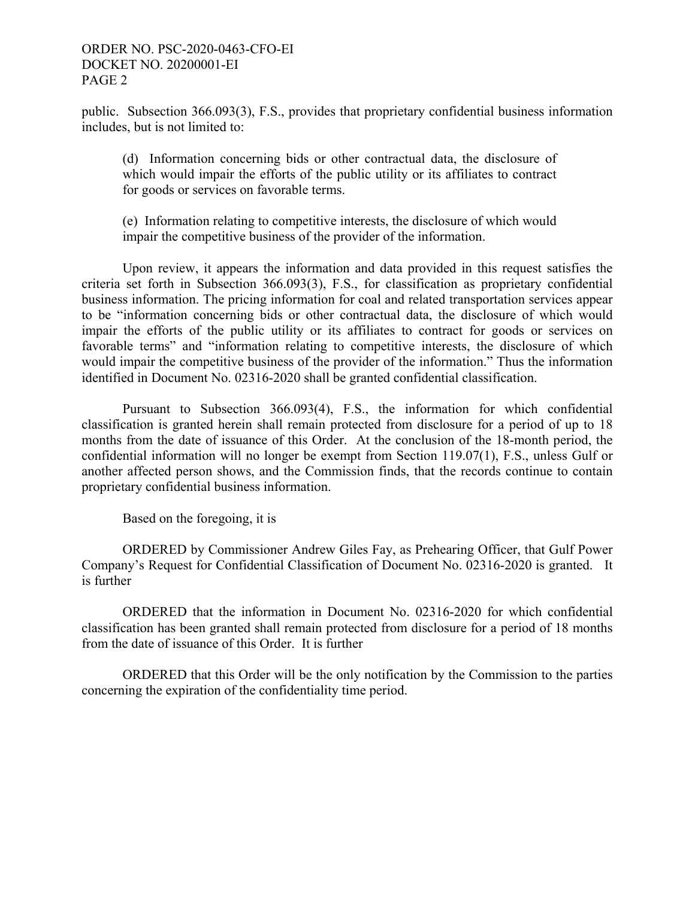### ORDER NO. PSC-2020-0463-CFO-EI DOCKET NO. 20200001-EI PAGE 2

public. Subsection 366.093(3), F.S., provides that proprietary confidential business information includes, but is not limited to:

(d) Information concerning bids or other contractual data, the disclosure of which would impair the efforts of the public utility or its affiliates to contract for goods or services on favorable terms.

(e) Information relating to competitive interests, the disclosure of which would impair the competitive business of the provider of the information.

Upon review, it appears the information and data provided in this request satisfies the criteria set forth in Subsection 366.093(3), F.S., for classification as proprietary confidential business information. The pricing information for coal and related transportation services appear to be "information concerning bids or other contractual data, the disclosure of which would impair the efforts of the public utility or its affiliates to contract for goods or services on favorable terms" and "information relating to competitive interests, the disclosure of which would impair the competitive business of the provider of the information." Thus the information identified in Document No. 02316-2020 shall be granted confidential classification.

Pursuant to Subsection 366.093(4), F.S., the information for which confidential classification is granted herein shall remain protected from disclosure for a period of up to 18 months from the date of issuance of this Order. At the conclusion of the 18-month period, the confidential information will no longer be exempt from Section 119.07(1), F.S., unless Gulf or another affected person shows, and the Commission finds, that the records continue to contain proprietary confidential business information.

Based on the foregoing, it is

ORDERED by Commissioner Andrew Giles Fay, as Prehearing Officer, that Gulf Power Company's Request for Confidential Classification of Document No. 02316-2020 is granted. It is further

ORDERED that the information in Document No. 02316-2020 for which confidential classification has been granted shall remain protected from disclosure for a period of 18 months from the date of issuance of this Order. It is further

ORDERED that this Order will be the only notification by the Commission to the parties concerning the expiration of the confidentiality time period.